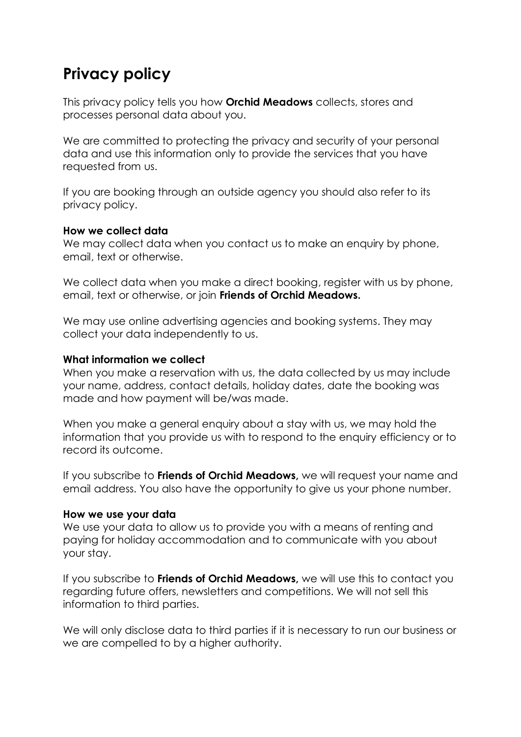# **Privacy policy**

This privacy policy tells you how **Orchid Meadows** collects, stores and processes personal data about you.

We are committed to protecting the privacy and security of your personal data and use this information only to provide the services that you have requested from us.

If you are booking through an outside agency you should also refer to its privacy policy.

#### **How we collect data**

We may collect data when you contact us to make an enquiry by phone, email, text or otherwise.

We collect data when you make a direct booking, register with us by phone, email, text or otherwise, or join **Friends of Orchid Meadows.**

We may use online advertising agencies and booking systems. They may collect your data independently to us.

### **What information we collect**

When you make a reservation with us, the data collected by us may include your name, address, contact details, holiday dates, date the booking was made and how payment will be/was made.

When you make a general enquiry about a stay with us, we may hold the information that you provide us with to respond to the enquiry efficiency or to record its outcome.

If you subscribe to **Friends of Orchid Meadows,** we will request your name and email address. You also have the opportunity to give us your phone number.

# **How we use your data**

We use your data to allow us to provide you with a means of renting and paying for holiday accommodation and to communicate with you about your stay.

If you subscribe to **Friends of Orchid Meadows,** we will use this to contact you regarding future offers, newsletters and competitions. We will not sell this information to third parties.

We will only disclose data to third parties if it is necessary to run our business or we are compelled to by a higher authority.